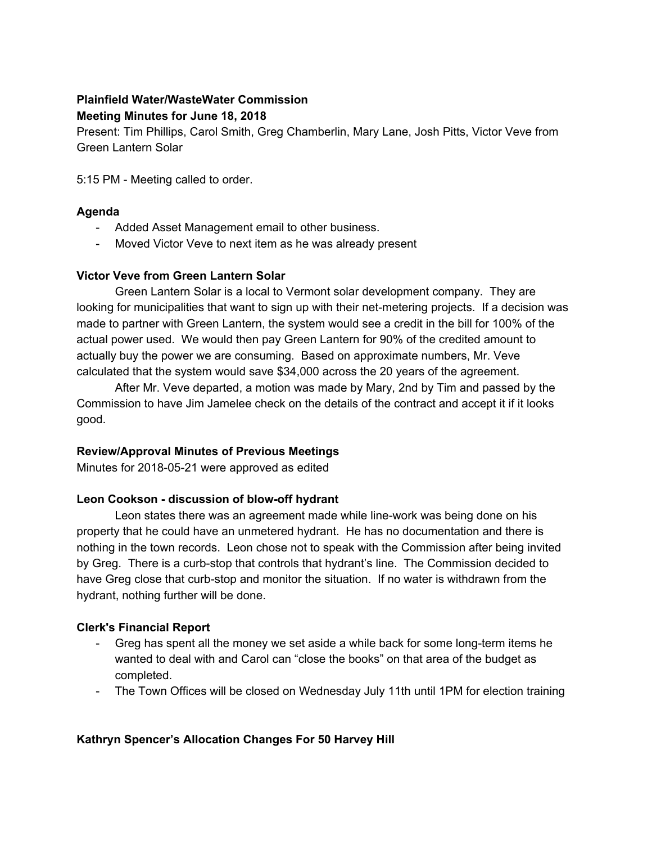# **Plainfield Water/WasteWater Commission Meeting Minutes for June 18, 2018**

Present: Tim Phillips, Carol Smith, Greg Chamberlin, Mary Lane, Josh Pitts, Victor Veve from Green Lantern Solar

5:15 PM - Meeting called to order.

### **Agenda**

- Added Asset Management email to other business.
- Moved Victor Veve to next item as he was already present

### **Victor Veve from Green Lantern Solar**

Green Lantern Solar is a local to Vermont solar development company. They are looking for municipalities that want to sign up with their net-metering projects. If a decision was made to partner with Green Lantern, the system would see a credit in the bill for 100% of the actual power used. We would then pay Green Lantern for 90% of the credited amount to actually buy the power we are consuming. Based on approximate numbers, Mr. Veve calculated that the system would save \$34,000 across the 20 years of the agreement.

After Mr. Veve departed, a motion was made by Mary, 2nd by Tim and passed by the Commission to have Jim Jamelee check on the details of the contract and accept it if it looks good.

# **Review/Approval Minutes of Previous Meetings**

Minutes for 2018-05-21 were approved as edited

#### **Leon Cookson - discussion of blow-off hydrant**

Leon states there was an agreement made while line-work was being done on his property that he could have an unmetered hydrant. He has no documentation and there is nothing in the town records. Leon chose not to speak with the Commission after being invited by Greg. There is a curb-stop that controls that hydrant's line. The Commission decided to have Greg close that curb-stop and monitor the situation. If no water is withdrawn from the hydrant, nothing further will be done.

# **Clerk's Financial Report**

- Greg has spent all the money we set aside a while back for some long-term items he wanted to deal with and Carol can "close the books" on that area of the budget as completed.
- The Town Offices will be closed on Wednesday July 11th until 1PM for election training

# **Kathryn Spencer's Allocation Changes For 50 Harvey Hill**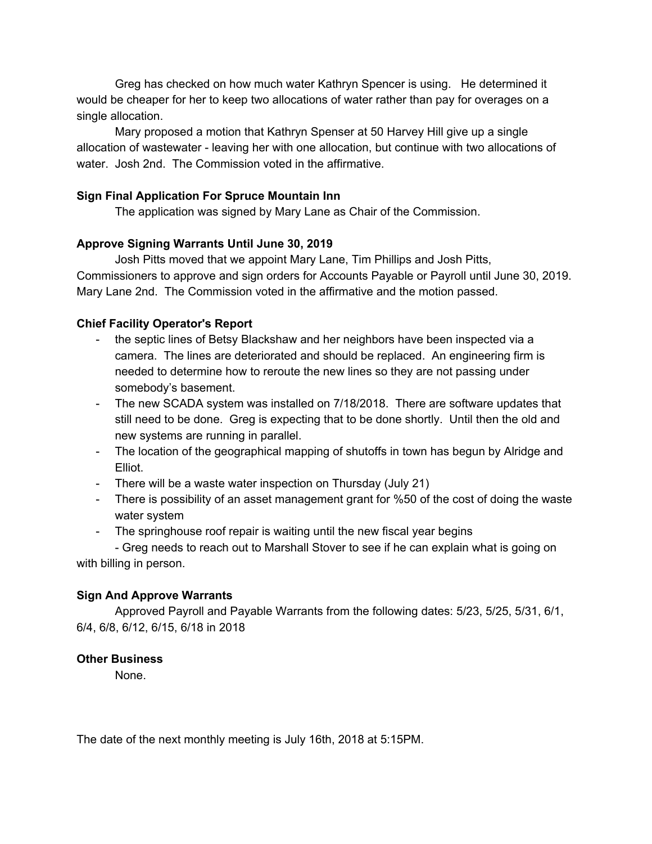Greg has checked on how much water Kathryn Spencer is using. He determined it would be cheaper for her to keep two allocations of water rather than pay for overages on a single allocation.

Mary proposed a motion that Kathryn Spenser at 50 Harvey Hill give up a single allocation of wastewater - leaving her with one allocation, but continue with two allocations of water. Josh 2nd. The Commission voted in the affirmative.

### **Sign Final Application For Spruce Mountain Inn**

The application was signed by Mary Lane as Chair of the Commission.

### **Approve Signing Warrants Until June 30, 2019**

Josh Pitts moved that we appoint Mary Lane, Tim Phillips and Josh Pitts, Commissioners to approve and sign orders for Accounts Payable or Payroll until June 30, 2019. Mary Lane 2nd. The Commission voted in the affirmative and the motion passed.

### **Chief Facility Operator's Report**

- the septic lines of Betsy Blackshaw and her neighbors have been inspected via a camera. The lines are deteriorated and should be replaced. An engineering firm is needed to determine how to reroute the new lines so they are not passing under somebody's basement.
- The new SCADA system was installed on 7/18/2018. There are software updates that still need to be done. Greg is expecting that to be done shortly. Until then the old and new systems are running in parallel.
- The location of the geographical mapping of shutoffs in town has begun by Alridge and Elliot.
- There will be a waste water inspection on Thursday (July 21)
- There is possibility of an asset management grant for %50 of the cost of doing the waste water system
- The springhouse roof repair is waiting until the new fiscal year begins

- Greg needs to reach out to Marshall Stover to see if he can explain what is going on with billing in person.

# **Sign And Approve Warrants**

Approved Payroll and Payable Warrants from the following dates: 5/23, 5/25, 5/31, 6/1, 6/4, 6/8, 6/12, 6/15, 6/18 in 2018

#### **Other Business**

None.

The date of the next monthly meeting is July 16th, 2018 at 5:15PM.